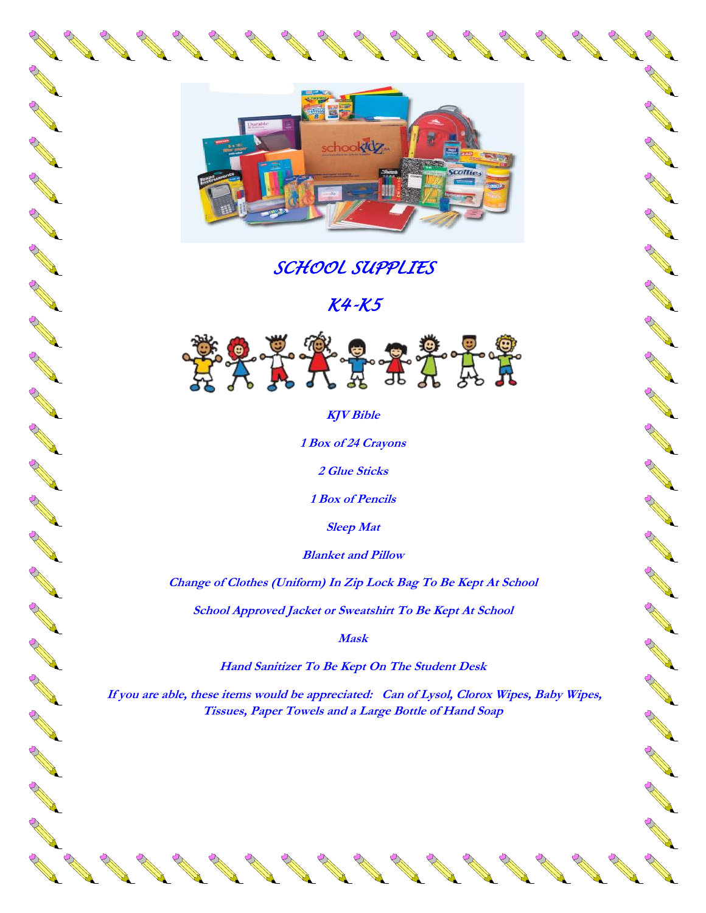

A A RIVER

A A R

Chance of Chance

**ANTI** 

RANT RESERVE

**AND READ** 

AND ROAD

A A A

RA A

**AND READER** 

AN RE

AND ROOM

**RANTICO** 

**CONTROLLER** 

RA REA

**AND ROAD** 

**RANT** 

A A R

A A R

N RA

**ANTI** 

No. of Canada and Canada and

A RIVER

RANT R

A A

A A A

A A R

A ALLA

RA A

AND ROAD

**AND READER** 

A A A

**RANT** 

**AND ROW** 

**RANTINO REPORT** 

RA REA

A A

Control R

A REA

**AND READER** 

**AND READER** 

**ANDER** 

**RANTICAL REPORT** 

**AND READER** 

Control R

AND THE RESIDENCE OF THE RESIDENCE OF

## *SCHOOL SUPPLIES*

*K4-K5* 



**KJV Bible**

**1 Box of 24 Crayons**

**2 Glue Sticks**

**1 Box of Pencils**

**Sleep Mat**

**Blanket and Pillow**

**Change of Clothes (Uniform) In Zip Lock Bag To Be Kept At School**

**School Approved Jacket or Sweatshirt To Be Kept At School**

**Mask**

**Hand Sanitizer To Be Kept On The Student Desk**

**If you are able, these items would be appreciated: Can of Lysol, Clorox Wipes, Baby Wipes, Tissues, Paper Towels and a Large Bottle of Hand Soap**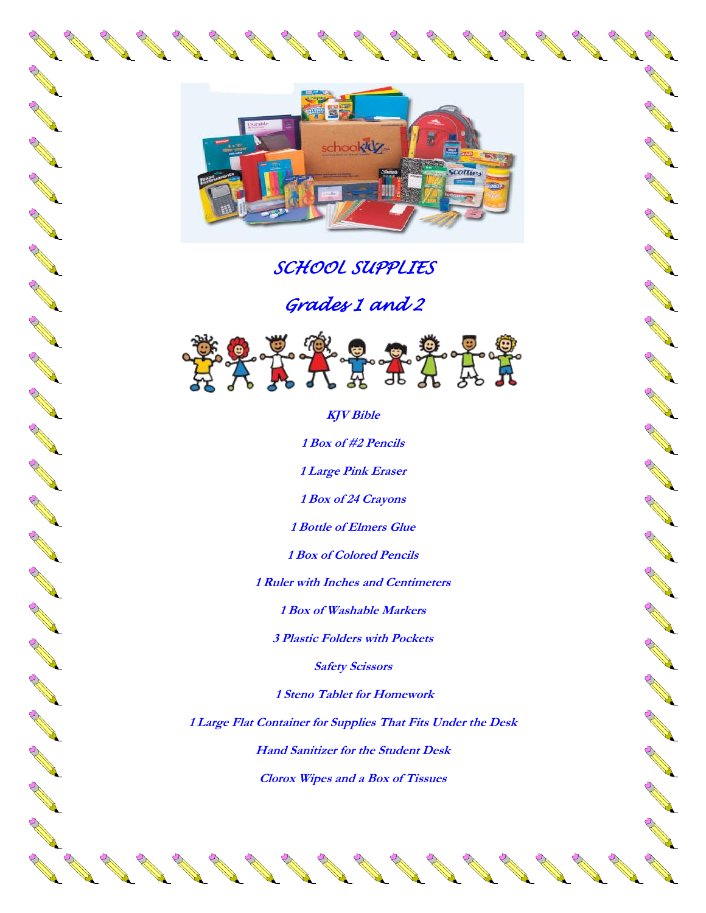

**SANTA** 

**RANT** 

A A A

A A A

**Contract Red** 

AND ROW

A RIVER

A RAY

AND ROAD

AND ROAD

AND ROAD

**RANT** 

A A A

A ALLA

A A A

A A A

A A A

**AND ROAD** 

A A A

A A R

AND ROAD

Construction of the Constant

A A RIVER

RA REA

**RANTACIONES** 

**ANTICATION** 

AND ROAD

A RAN

RA REA

**AND READER** 

A A A

AND ROAD

AND ROAD

**AND RE** 

**RANTARY** 

A A R

RA REA

A REA

**AND ROW** 

A A A

A A R

A REA

## *SCHOOL SUPPLIES*

*Grades 1 and 2* 



**KJV Bible 1 Box of #2 Pencils 1 Large Pink Eraser 1 Box of 24 Crayons 1 Bottle of Elmers Glue 1 Box of Colored Pencils 1 Ruler with Inches and Centimeters 1 Box of Washable Markers 3 Plastic Folders with Pockets Safety Scissors 1 Steno Tablet for Homework 1 Large Flat Container for Supplies That Fits Under the Desk Hand Sanitizer for the Student Desk Clorox Wipes and a Box of Tissues**